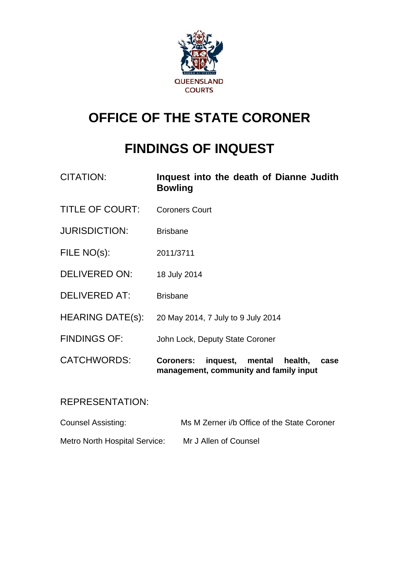

# **OFFICE OF THE STATE CORONER**

# **FINDINGS OF INQUEST**

| <b>CITATION:</b>        | Inquest into the death of Dianne Judith<br><b>Bowling</b>                                           |  |  |
|-------------------------|-----------------------------------------------------------------------------------------------------|--|--|
| <b>TITLE OF COURT:</b>  | <b>Coroners Court</b>                                                                               |  |  |
| <b>JURISDICTION:</b>    | <b>Brisbane</b>                                                                                     |  |  |
| FILE NO(s):             | 2011/3711                                                                                           |  |  |
| <b>DELIVERED ON:</b>    | 18 July 2014                                                                                        |  |  |
| <b>DELIVERED AT:</b>    | <b>Brisbane</b>                                                                                     |  |  |
| <b>HEARING DATE(s):</b> | 20 May 2014, 7 July to 9 July 2014                                                                  |  |  |
| <b>FINDINGS OF:</b>     | John Lock, Deputy State Coroner                                                                     |  |  |
| <b>CATCHWORDS:</b>      | inquest,<br><b>Coroners:</b><br>mental<br>health,<br>case<br>management, community and family input |  |  |

## REPRESENTATION:

| <b>Counsel Assisting:</b>            | Ms M Zerner i/b Office of the State Coroner |  |  |
|--------------------------------------|---------------------------------------------|--|--|
| <b>Metro North Hospital Service:</b> | Mr J Allen of Counsel                       |  |  |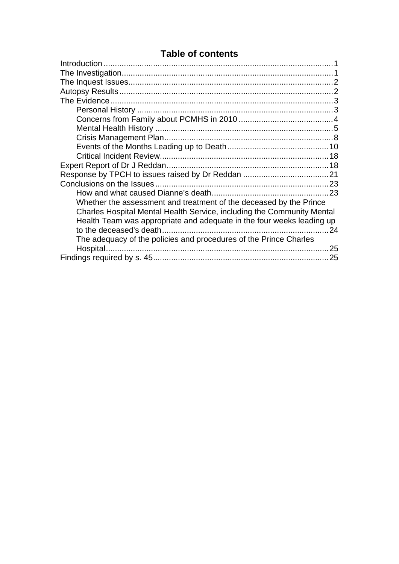## **Table of contents**

| Whether the assessment and treatment of the deceased by the Prince     |     |
|------------------------------------------------------------------------|-----|
| Charles Hospital Mental Health Service, including the Community Mental |     |
| Health Team was appropriate and adequate in the four weeks leading up  |     |
|                                                                        | 24  |
| The adequacy of the policies and procedures of the Prince Charles      |     |
| Hospital                                                               | 25  |
|                                                                        | .25 |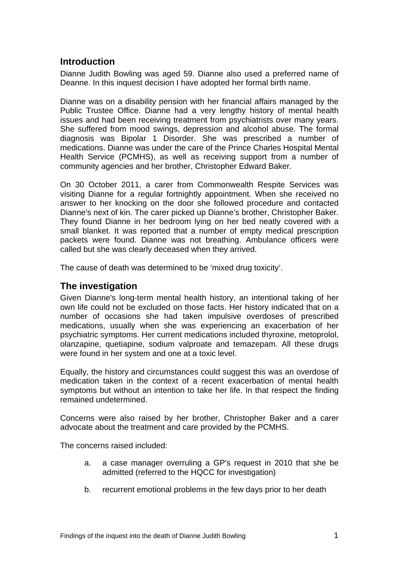## <span id="page-2-0"></span>**Introduction**

Dianne Judith Bowling was aged 59. Dianne also used a preferred name of Deanne. In this inquest decision I have adopted her formal birth name.

Dianne was on a disability pension with her financial affairs managed by the Public Trustee Office. Dianne had a very lengthy history of mental health issues and had been receiving treatment from psychiatrists over many years. She suffered from mood swings, depression and alcohol abuse. The formal diagnosis was Bipolar 1 Disorder. She was prescribed a number of medications. Dianne was under the care of the Prince Charles Hospital Mental Health Service (PCMHS), as well as receiving support from a number of community agencies and her brother, Christopher Edward Baker.

On 30 October 2011, a carer from Commonwealth Respite Services was visiting Dianne for a regular fortnightly appointment. When she received no answer to her knocking on the door she followed procedure and contacted Dianne's next of kin. The carer picked up Dianne's brother, Christopher Baker. They found Dianne in her bedroom lying on her bed neatly covered with a small blanket. It was reported that a number of empty medical prescription packets were found. Dianne was not breathing. Ambulance officers were called but she was clearly deceased when they arrived.

The cause of death was determined to be 'mixed drug toxicity'.

## <span id="page-2-1"></span>**The investigation**

Given Dianne's long-term mental health history, an intentional taking of her own life could not be excluded on those facts. Her history indicated that on a number of occasions she had taken impulsive overdoses of prescribed medications, usually when she was experiencing an exacerbation of her psychiatric symptoms. Her current medications included thyroxine, metoprolol, olanzapine, quetiapine, sodium valproate and temazepam. All these drugs were found in her system and one at a toxic level.

Equally, the history and circumstances could suggest this was an overdose of medication taken in the context of a recent exacerbation of mental health symptoms but without an intention to take her life. In that respect the finding remained undetermined.

Concerns were also raised by her brother, Christopher Baker and a carer advocate about the treatment and care provided by the PCMHS.

The concerns raised included:

- a. a case manager overruling a GP's request in 2010 that she be admitted (referred to the HQCC for investigation)
- b. recurrent emotional problems in the few days prior to her death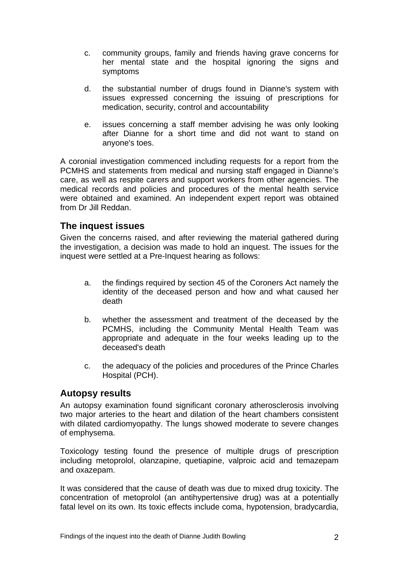- c. community groups, family and friends having grave concerns for her mental state and the hospital ignoring the signs and symptoms
- d. the substantial number of drugs found in Dianne's system with issues expressed concerning the issuing of prescriptions for medication, security, control and accountability
- e. issues concerning a staff member advising he was only looking after Dianne for a short time and did not want to stand on anyone's toes.

A coronial investigation commenced including requests for a report from the PCMHS and statements from medical and nursing staff engaged in Dianne's care, as well as respite carers and support workers from other agencies. The medical records and policies and procedures of the mental health service were obtained and examined. An independent expert report was obtained from Dr Jill Reddan.

## <span id="page-3-0"></span>**The inquest issues**

Given the concerns raised, and after reviewing the material gathered during the investigation, a decision was made to hold an inquest. The issues for the inquest were settled at a Pre-Inquest hearing as follows:

- a. the findings required by section 45 of the Coroners Act namely the identity of the deceased person and how and what caused her death
- b. whether the assessment and treatment of the deceased by the PCMHS, including the Community Mental Health Team was appropriate and adequate in the four weeks leading up to the deceased's death
- c. the adequacy of the policies and procedures of the Prince Charles Hospital (PCH).

#### <span id="page-3-1"></span>**Autopsy results**

An autopsy examination found significant coronary atherosclerosis involving two major arteries to the heart and dilation of the heart chambers consistent with dilated cardiomyopathy. The lungs showed moderate to severe changes of emphysema.

Toxicology testing found the presence of multiple drugs of prescription including metoprolol, olanzapine, quetiapine, valproic acid and temazepam and oxazepam.

It was considered that the cause of death was due to mixed drug toxicity. The concentration of metoprolol (an antihypertensive drug) was at a potentially fatal level on its own. Its toxic effects include coma, hypotension, bradycardia,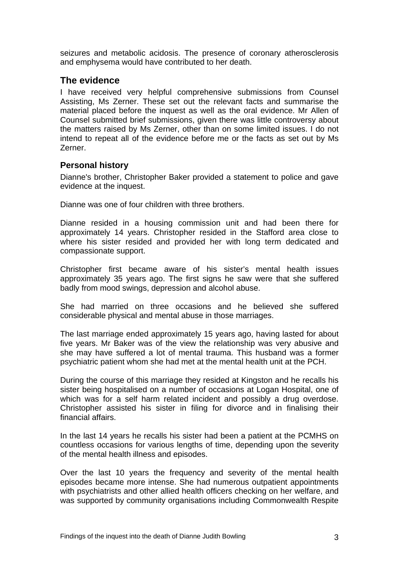seizures and metabolic acidosis. The presence of coronary atherosclerosis and emphysema would have contributed to her death.

## <span id="page-4-0"></span>**The evidence**

I have received very helpful comprehensive submissions from Counsel Assisting, Ms Zerner. These set out the relevant facts and summarise the material placed before the inquest as well as the oral evidence. Mr Allen of Counsel submitted brief submissions, given there was little controversy about the matters raised by Ms Zerner, other than on some limited issues. I do not intend to repeat all of the evidence before me or the facts as set out by Ms Zerner.

#### <span id="page-4-1"></span>**Personal history**

Dianne's brother, Christopher Baker provided a statement to police and gave evidence at the inquest.

Dianne was one of four children with three brothers.

Dianne resided in a housing commission unit and had been there for approximately 14 years. Christopher resided in the Stafford area close to where his sister resided and provided her with long term dedicated and compassionate support.

Christopher first became aware of his sister's mental health issues approximately 35 years ago. The first signs he saw were that she suffered badly from mood swings, depression and alcohol abuse.

She had married on three occasions and he believed she suffered considerable physical and mental abuse in those marriages.

The last marriage ended approximately 15 years ago, having lasted for about five years. Mr Baker was of the view the relationship was very abusive and she may have suffered a lot of mental trauma. This husband was a former psychiatric patient whom she had met at the mental health unit at the PCH.

During the course of this marriage they resided at Kingston and he recalls his sister being hospitalised on a number of occasions at Logan Hospital, one of which was for a self harm related incident and possibly a drug overdose. Christopher assisted his sister in filing for divorce and in finalising their financial affairs.

In the last 14 years he recalls his sister had been a patient at the PCMHS on countless occasions for various lengths of time, depending upon the severity of the mental health illness and episodes.

Over the last 10 years the frequency and severity of the mental health episodes became more intense. She had numerous outpatient appointments with psychiatrists and other allied health officers checking on her welfare, and was supported by community organisations including Commonwealth Respite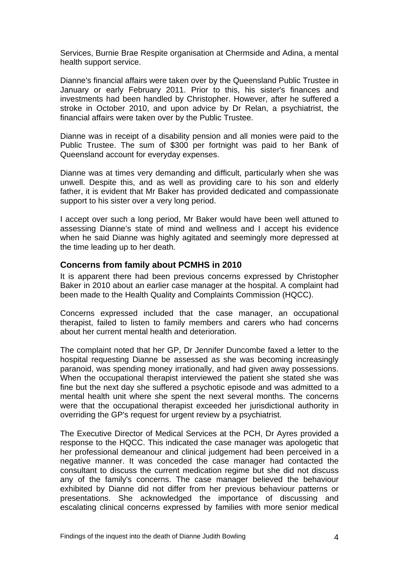Services, Burnie Brae Respite organisation at Chermside and Adina, a mental health support service.

Dianne's financial affairs were taken over by the Queensland Public Trustee in January or early February 2011. Prior to this, his sister's finances and investments had been handled by Christopher. However, after he suffered a stroke in October 2010, and upon advice by Dr Relan, a psychiatrist, the financial affairs were taken over by the Public Trustee.

Dianne was in receipt of a disability pension and all monies were paid to the Public Trustee. The sum of \$300 per fortnight was paid to her Bank of Queensland account for everyday expenses.

Dianne was at times very demanding and difficult, particularly when she was unwell. Despite this, and as well as providing care to his son and elderly father, it is evident that Mr Baker has provided dedicated and compassionate support to his sister over a very long period.

I accept over such a long period, Mr Baker would have been well attuned to assessing Dianne's state of mind and wellness and I accept his evidence when he said Dianne was highly agitated and seemingly more depressed at the time leading up to her death.

#### <span id="page-5-0"></span>**Concerns from family about PCMHS in 2010**

It is apparent there had been previous concerns expressed by Christopher Baker in 2010 about an earlier case manager at the hospital. A complaint had been made to the Health Quality and Complaints Commission (HQCC).

Concerns expressed included that the case manager, an occupational therapist, failed to listen to family members and carers who had concerns about her current mental health and deterioration.

The complaint noted that her GP, Dr Jennifer Duncombe faxed a letter to the hospital requesting Dianne be assessed as she was becoming increasingly paranoid, was spending money irrationally, and had given away possessions. When the occupational therapist interviewed the patient she stated she was fine but the next day she suffered a psychotic episode and was admitted to a mental health unit where she spent the next several months. The concerns were that the occupational therapist exceeded her jurisdictional authority in overriding the GP's request for urgent review by a psychiatrist.

The Executive Director of Medical Services at the PCH, Dr Ayres provided a response to the HQCC. This indicated the case manager was apologetic that her professional demeanour and clinical judgement had been perceived in a negative manner. It was conceded the case manager had contacted the consultant to discuss the current medication regime but she did not discuss any of the family's concerns. The case manager believed the behaviour exhibited by Dianne did not differ from her previous behaviour patterns or presentations. She acknowledged the importance of discussing and escalating clinical concerns expressed by families with more senior medical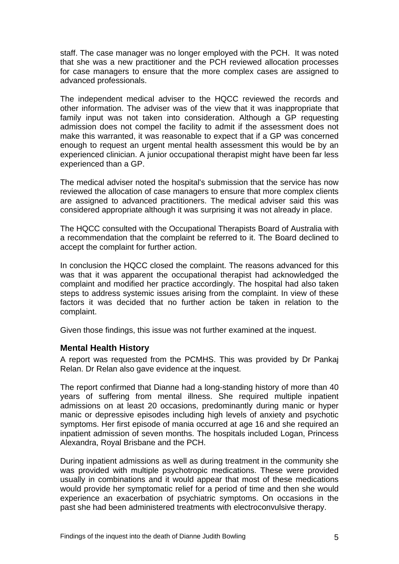staff. The case manager was no longer employed with the PCH. It was noted that she was a new practitioner and the PCH reviewed allocation processes for case managers to ensure that the more complex cases are assigned to advanced professionals.

The independent medical adviser to the HQCC reviewed the records and other information. The adviser was of the view that it was inappropriate that family input was not taken into consideration. Although a GP requesting admission does not compel the facility to admit if the assessment does not make this warranted, it was reasonable to expect that if a GP was concerned enough to request an urgent mental health assessment this would be by an experienced clinician. A junior occupational therapist might have been far less experienced than a GP.

The medical adviser noted the hospital's submission that the service has now reviewed the allocation of case managers to ensure that more complex clients are assigned to advanced practitioners. The medical adviser said this was considered appropriate although it was surprising it was not already in place.

The HQCC consulted with the Occupational Therapists Board of Australia with a recommendation that the complaint be referred to it. The Board declined to accept the complaint for further action.

In conclusion the HQCC closed the complaint. The reasons advanced for this was that it was apparent the occupational therapist had acknowledged the complaint and modified her practice accordingly. The hospital had also taken steps to address systemic issues arising from the complaint. In view of these factors it was decided that no further action be taken in relation to the complaint.

Given those findings, this issue was not further examined at the inquest.

#### <span id="page-6-0"></span>**Mental Health History**

A report was requested from the PCMHS. This was provided by Dr Pankaj Relan. Dr Relan also gave evidence at the inquest.

The report confirmed that Dianne had a long-standing history of more than 40 years of suffering from mental illness. She required multiple inpatient admissions on at least 20 occasions, predominantly during manic or hyper manic or depressive episodes including high levels of anxiety and psychotic symptoms. Her first episode of mania occurred at age 16 and she required an inpatient admission of seven months. The hospitals included Logan, Princess Alexandra, Royal Brisbane and the PCH.

During inpatient admissions as well as during treatment in the community she was provided with multiple psychotropic medications. These were provided usually in combinations and it would appear that most of these medications would provide her symptomatic relief for a period of time and then she would experience an exacerbation of psychiatric symptoms. On occasions in the past she had been administered treatments with electroconvulsive therapy.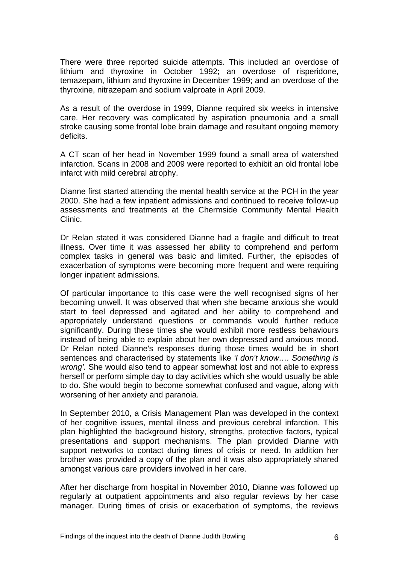There were three reported suicide attempts. This included an overdose of lithium and thyroxine in October 1992; an overdose of risperidone, temazepam, lithium and thyroxine in December 1999; and an overdose of the thyroxine, nitrazepam and sodium valproate in April 2009.

As a result of the overdose in 1999, Dianne required six weeks in intensive care. Her recovery was complicated by aspiration pneumonia and a small stroke causing some frontal lobe brain damage and resultant ongoing memory deficits.

A CT scan of her head in November 1999 found a small area of watershed infarction. Scans in 2008 and 2009 were reported to exhibit an old frontal lobe infarct with mild cerebral atrophy.

Dianne first started attending the mental health service at the PCH in the year 2000. She had a few inpatient admissions and continued to receive follow-up assessments and treatments at the Chermside Community Mental Health Clinic.

Dr Relan stated it was considered Dianne had a fragile and difficult to treat illness. Over time it was assessed her ability to comprehend and perform complex tasks in general was basic and limited. Further, the episodes of exacerbation of symptoms were becoming more frequent and were requiring longer inpatient admissions.

Of particular importance to this case were the well recognised signs of her becoming unwell. It was observed that when she became anxious she would start to feel depressed and agitated and her ability to comprehend and appropriately understand questions or commands would further reduce significantly. During these times she would exhibit more restless behaviours instead of being able to explain about her own depressed and anxious mood. Dr Relan noted Dianne's responses during those times would be in short sentences and characterised by statements like *'I don't know…. Something is wrong'.* She would also tend to appear somewhat lost and not able to express herself or perform simple day to day activities which she would usually be able to do. She would begin to become somewhat confused and vague, along with worsening of her anxiety and paranoia.

In September 2010, a Crisis Management Plan was developed in the context of her cognitive issues, mental illness and previous cerebral infarction. This plan highlighted the background history, strengths, protective factors, typical presentations and support mechanisms. The plan provided Dianne with support networks to contact during times of crisis or need. In addition her brother was provided a copy of the plan and it was also appropriately shared amongst various care providers involved in her care.

After her discharge from hospital in November 2010, Dianne was followed up regularly at outpatient appointments and also regular reviews by her case manager. During times of crisis or exacerbation of symptoms, the reviews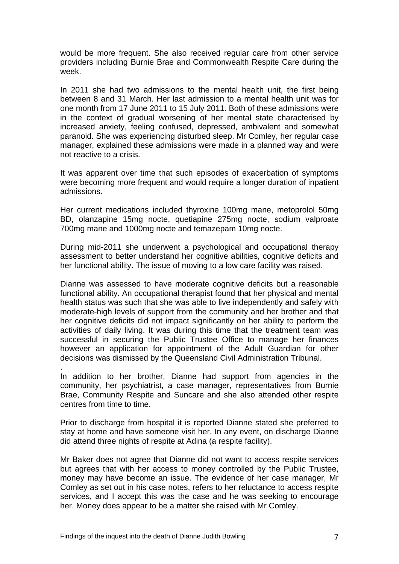would be more frequent. She also received regular care from other service providers including Burnie Brae and Commonwealth Respite Care during the week.

In 2011 she had two admissions to the mental health unit, the first being between 8 and 31 March. Her last admission to a mental health unit was for one month from 17 June 2011 to 15 July 2011. Both of these admissions were in the context of gradual worsening of her mental state characterised by increased anxiety, feeling confused, depressed, ambivalent and somewhat paranoid. She was experiencing disturbed sleep. Mr Comley, her regular case manager, explained these admissions were made in a planned way and were not reactive to a crisis.

It was apparent over time that such episodes of exacerbation of symptoms were becoming more frequent and would require a longer duration of inpatient admissions.

Her current medications included thyroxine 100mg mane, metoprolol 50mg BD, olanzapine 15mg nocte, quetiapine 275mg nocte, sodium valproate 700mg mane and 1000mg nocte and temazepam 10mg nocte.

During mid-2011 she underwent a psychological and occupational therapy assessment to better understand her cognitive abilities, cognitive deficits and her functional ability. The issue of moving to a low care facility was raised.

Dianne was assessed to have moderate cognitive deficits but a reasonable functional ability. An occupational therapist found that her physical and mental health status was such that she was able to live independently and safely with moderate-high levels of support from the community and her brother and that her cognitive deficits did not impact significantly on her ability to perform the activities of daily living. It was during this time that the treatment team was successful in securing the Public Trustee Office to manage her finances however an application for appointment of the Adult Guardian for other decisions was dismissed by the Queensland Civil Administration Tribunal.

In addition to her brother, Dianne had support from agencies in the community, her psychiatrist, a case manager, representatives from Burnie Brae, Community Respite and Suncare and she also attended other respite centres from time to time.

Prior to discharge from hospital it is reported Dianne stated she preferred to stay at home and have someone visit her. In any event, on discharge Dianne did attend three nights of respite at Adina (a respite facility).

Mr Baker does not agree that Dianne did not want to access respite services but agrees that with her access to money controlled by the Public Trustee, money may have become an issue. The evidence of her case manager, Mr Comley as set out in his case notes, refers to her reluctance to access respite services, and I accept this was the case and he was seeking to encourage her. Money does appear to be a matter she raised with Mr Comley.

.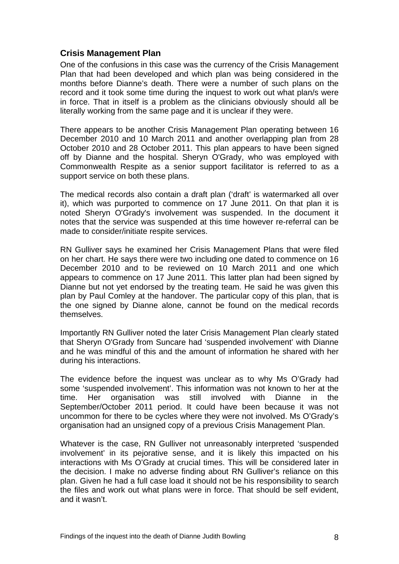#### <span id="page-9-0"></span>**Crisis Management Plan**

One of the confusions in this case was the currency of the Crisis Management Plan that had been developed and which plan was being considered in the months before Dianne's death. There were a number of such plans on the record and it took some time during the inquest to work out what plan/s were in force. That in itself is a problem as the clinicians obviously should all be literally working from the same page and it is unclear if they were.

There appears to be another Crisis Management Plan operating between 16 December 2010 and 10 March 2011 and another overlapping plan from 28 October 2010 and 28 October 2011. This plan appears to have been signed off by Dianne and the hospital. Sheryn O'Grady, who was employed with Commonwealth Respite as a senior support facilitator is referred to as a support service on both these plans.

The medical records also contain a draft plan ('draft' is watermarked all over it), which was purported to commence on 17 June 2011. On that plan it is noted Sheryn O'Grady's involvement was suspended. In the document it notes that the service was suspended at this time however re-referral can be made to consider/initiate respite services.

RN Gulliver says he examined her Crisis Management Plans that were filed on her chart. He says there were two including one dated to commence on 16 December 2010 and to be reviewed on 10 March 2011 and one which appears to commence on 17 June 2011. This latter plan had been signed by Dianne but not yet endorsed by the treating team. He said he was given this plan by Paul Comley at the handover. The particular copy of this plan, that is the one signed by Dianne alone, cannot be found on the medical records themselves.

Importantly RN Gulliver noted the later Crisis Management Plan clearly stated that Sheryn O'Grady from Suncare had 'suspended involvement' with Dianne and he was mindful of this and the amount of information he shared with her during his interactions.

The evidence before the inquest was unclear as to why Ms O'Grady had some 'suspended involvement'. This information was not known to her at the time. Her organisation was still involved with Dianne in the September/October 2011 period. It could have been because it was not uncommon for there to be cycles where they were not involved. Ms O'Grady's organisation had an unsigned copy of a previous Crisis Management Plan.

Whatever is the case, RN Gulliver not unreasonably interpreted 'suspended involvement' in its pejorative sense, and it is likely this impacted on his interactions with Ms O'Grady at crucial times. This will be considered later in the decision. I make no adverse finding about RN Gulliver's reliance on this plan. Given he had a full case load it should not be his responsibility to search the files and work out what plans were in force. That should be self evident, and it wasn't.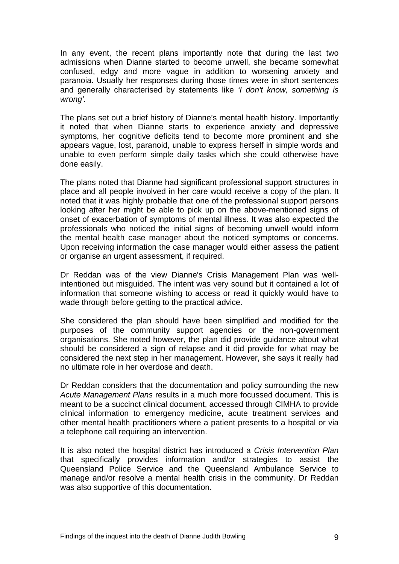In any event, the recent plans importantly note that during the last two admissions when Dianne started to become unwell, she became somewhat confused, edgy and more vague in addition to worsening anxiety and paranoia. Usually her responses during those times were in short sentences and generally characterised by statements like *'I don't know, something is wrong'.* 

The plans set out a brief history of Dianne's mental health history. Importantly it noted that when Dianne starts to experience anxiety and depressive symptoms, her cognitive deficits tend to become more prominent and she appears vague, lost, paranoid, unable to express herself in simple words and unable to even perform simple daily tasks which she could otherwise have done easily.

The plans noted that Dianne had significant professional support structures in place and all people involved in her care would receive a copy of the plan. It noted that it was highly probable that one of the professional support persons looking after her might be able to pick up on the above-mentioned signs of onset of exacerbation of symptoms of mental illness. It was also expected the professionals who noticed the initial signs of becoming unwell would inform the mental health case manager about the noticed symptoms or concerns. Upon receiving information the case manager would either assess the patient or organise an urgent assessment, if required.

Dr Reddan was of the view Dianne's Crisis Management Plan was wellintentioned but misguided. The intent was very sound but it contained a lot of information that someone wishing to access or read it quickly would have to wade through before getting to the practical advice.

She considered the plan should have been simplified and modified for the purposes of the community support agencies or the non-government organisations. She noted however, the plan did provide guidance about what should be considered a sign of relapse and it did provide for what may be considered the next step in her management. However, she says it really had no ultimate role in her overdose and death.

Dr Reddan considers that the documentation and policy surrounding the new *Acute Management Plans* results in a much more focussed document. This is meant to be a succinct clinical document, accessed through CIMHA to provide clinical information to emergency medicine, acute treatment services and other mental health practitioners where a patient presents to a hospital or via a telephone call requiring an intervention.

It is also noted the hospital district has introduced a *Crisis Intervention Plan*  that specifically provides information and/or strategies to assist the Queensland Police Service and the Queensland Ambulance Service to manage and/or resolve a mental health crisis in the community. Dr Reddan was also supportive of this documentation.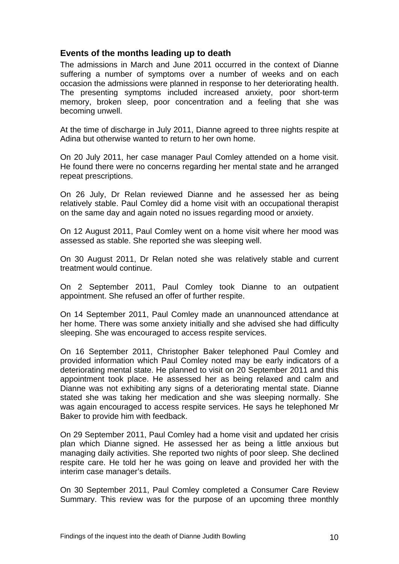#### <span id="page-11-0"></span>**Events of the months leading up to death**

The admissions in March and June 2011 occurred in the context of Dianne suffering a number of symptoms over a number of weeks and on each occasion the admissions were planned in response to her deteriorating health. The presenting symptoms included increased anxiety, poor short-term memory, broken sleep, poor concentration and a feeling that she was becoming unwell.

At the time of discharge in July 2011, Dianne agreed to three nights respite at Adina but otherwise wanted to return to her own home.

On 20 July 2011, her case manager Paul Comley attended on a home visit. He found there were no concerns regarding her mental state and he arranged repeat prescriptions.

On 26 July, Dr Relan reviewed Dianne and he assessed her as being relatively stable. Paul Comley did a home visit with an occupational therapist on the same day and again noted no issues regarding mood or anxiety.

On 12 August 2011, Paul Comley went on a home visit where her mood was assessed as stable. She reported she was sleeping well.

On 30 August 2011, Dr Relan noted she was relatively stable and current treatment would continue.

On 2 September 2011, Paul Comley took Dianne to an outpatient appointment. She refused an offer of further respite.

On 14 September 2011, Paul Comley made an unannounced attendance at her home. There was some anxiety initially and she advised she had difficulty sleeping. She was encouraged to access respite services.

On 16 September 2011, Christopher Baker telephoned Paul Comley and provided information which Paul Comley noted may be early indicators of a deteriorating mental state. He planned to visit on 20 September 2011 and this appointment took place. He assessed her as being relaxed and calm and Dianne was not exhibiting any signs of a deteriorating mental state. Dianne stated she was taking her medication and she was sleeping normally. She was again encouraged to access respite services. He says he telephoned Mr Baker to provide him with feedback.

On 29 September 2011, Paul Comley had a home visit and updated her crisis plan which Dianne signed. He assessed her as being a little anxious but managing daily activities. She reported two nights of poor sleep. She declined respite care. He told her he was going on leave and provided her with the interim case manager's details.

On 30 September 2011, Paul Comley completed a Consumer Care Review Summary. This review was for the purpose of an upcoming three monthly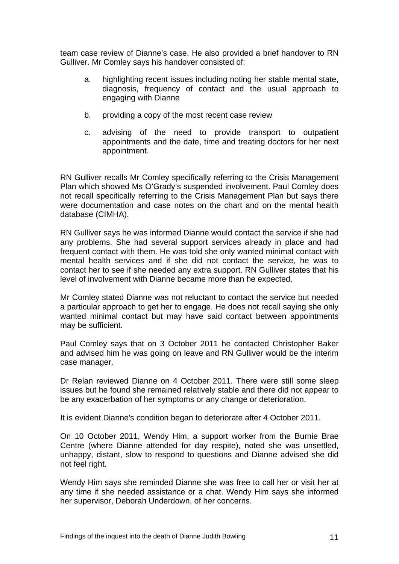team case review of Dianne's case. He also provided a brief handover to RN Gulliver. Mr Comley says his handover consisted of:

- a. highlighting recent issues including noting her stable mental state, diagnosis, frequency of contact and the usual approach to engaging with Dianne
- b. providing a copy of the most recent case review
- c. advising of the need to provide transport to outpatient appointments and the date, time and treating doctors for her next appointment.

RN Gulliver recalls Mr Comley specifically referring to the Crisis Management Plan which showed Ms O'Grady's suspended involvement. Paul Comley does not recall specifically referring to the Crisis Management Plan but says there were documentation and case notes on the chart and on the mental health database (CIMHA).

RN Gulliver says he was informed Dianne would contact the service if she had any problems. She had several support services already in place and had frequent contact with them. He was told she only wanted minimal contact with mental health services and if she did not contact the service, he was to contact her to see if she needed any extra support. RN Gulliver states that his level of involvement with Dianne became more than he expected.

Mr Comley stated Dianne was not reluctant to contact the service but needed a particular approach to get her to engage. He does not recall saying she only wanted minimal contact but may have said contact between appointments may be sufficient.

Paul Comley says that on 3 October 2011 he contacted Christopher Baker and advised him he was going on leave and RN Gulliver would be the interim case manager.

Dr Relan reviewed Dianne on 4 October 2011. There were still some sleep issues but he found she remained relatively stable and there did not appear to be any exacerbation of her symptoms or any change or deterioration.

It is evident Dianne's condition began to deteriorate after 4 October 2011.

On 10 October 2011, Wendy Him, a support worker from the Burnie Brae Centre (where Dianne attended for day respite), noted she was unsettled, unhappy, distant, slow to respond to questions and Dianne advised she did not feel right.

Wendy Him says she reminded Dianne she was free to call her or visit her at any time if she needed assistance or a chat. Wendy Him says she informed her supervisor, Deborah Underdown, of her concerns.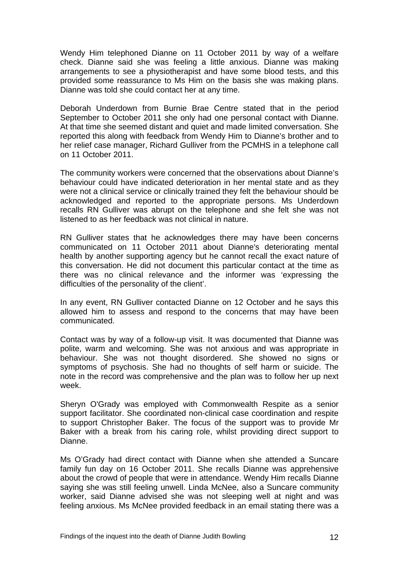Wendy Him telephoned Dianne on 11 October 2011 by way of a welfare check. Dianne said she was feeling a little anxious. Dianne was making arrangements to see a physiotherapist and have some blood tests, and this provided some reassurance to Ms Him on the basis she was making plans. Dianne was told she could contact her at any time.

Deborah Underdown from Burnie Brae Centre stated that in the period September to October 2011 she only had one personal contact with Dianne. At that time she seemed distant and quiet and made limited conversation. She reported this along with feedback from Wendy Him to Dianne's brother and to her relief case manager, Richard Gulliver from the PCMHS in a telephone call on 11 October 2011.

The community workers were concerned that the observations about Dianne's behaviour could have indicated deterioration in her mental state and as they were not a clinical service or clinically trained they felt the behaviour should be acknowledged and reported to the appropriate persons. Ms Underdown recalls RN Gulliver was abrupt on the telephone and she felt she was not listened to as her feedback was not clinical in nature.

RN Gulliver states that he acknowledges there may have been concerns communicated on 11 October 2011 about Dianne's deteriorating mental health by another supporting agency but he cannot recall the exact nature of this conversation. He did not document this particular contact at the time as there was no clinical relevance and the informer was 'expressing the difficulties of the personality of the client'.

In any event, RN Gulliver contacted Dianne on 12 October and he says this allowed him to assess and respond to the concerns that may have been communicated.

Contact was by way of a follow-up visit. It was documented that Dianne was polite, warm and welcoming. She was not anxious and was appropriate in behaviour. She was not thought disordered. She showed no signs or symptoms of psychosis. She had no thoughts of self harm or suicide. The note in the record was comprehensive and the plan was to follow her up next week.

Sheryn O'Grady was employed with Commonwealth Respite as a senior support facilitator. She coordinated non-clinical case coordination and respite to support Christopher Baker. The focus of the support was to provide Mr Baker with a break from his caring role, whilst providing direct support to Dianne.

Ms O'Grady had direct contact with Dianne when she attended a Suncare family fun day on 16 October 2011. She recalls Dianne was apprehensive about the crowd of people that were in attendance. Wendy Him recalls Dianne saying she was still feeling unwell. Linda McNee, also a Suncare community worker, said Dianne advised she was not sleeping well at night and was feeling anxious. Ms McNee provided feedback in an email stating there was a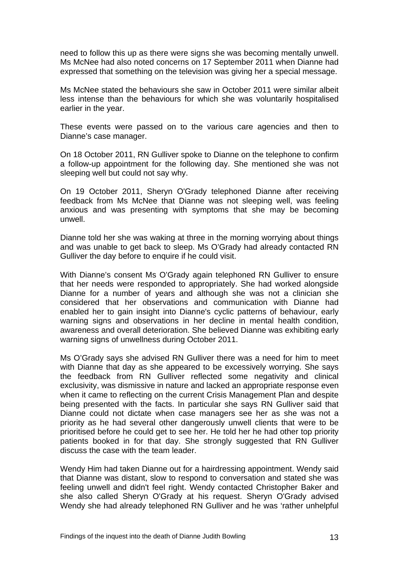need to follow this up as there were signs she was becoming mentally unwell. Ms McNee had also noted concerns on 17 September 2011 when Dianne had expressed that something on the television was giving her a special message.

Ms McNee stated the behaviours she saw in October 2011 were similar albeit less intense than the behaviours for which she was voluntarily hospitalised earlier in the year.

These events were passed on to the various care agencies and then to Dianne's case manager.

On 18 October 2011, RN Gulliver spoke to Dianne on the telephone to confirm a follow-up appointment for the following day. She mentioned she was not sleeping well but could not say why.

On 19 October 2011, Sheryn O'Grady telephoned Dianne after receiving feedback from Ms McNee that Dianne was not sleeping well, was feeling anxious and was presenting with symptoms that she may be becoming unwell.

Dianne told her she was waking at three in the morning worrying about things and was unable to get back to sleep. Ms O'Grady had already contacted RN Gulliver the day before to enquire if he could visit.

With Dianne's consent Ms O'Grady again telephoned RN Gulliver to ensure that her needs were responded to appropriately. She had worked alongside Dianne for a number of years and although she was not a clinician she considered that her observations and communication with Dianne had enabled her to gain insight into Dianne's cyclic patterns of behaviour, early warning signs and observations in her decline in mental health condition, awareness and overall deterioration. She believed Dianne was exhibiting early warning signs of unwellness during October 2011.

Ms O'Grady says she advised RN Gulliver there was a need for him to meet with Dianne that day as she appeared to be excessively worrying. She says the feedback from RN Gulliver reflected some negativity and clinical exclusivity, was dismissive in nature and lacked an appropriate response even when it came to reflecting on the current Crisis Management Plan and despite being presented with the facts. In particular she says RN Gulliver said that Dianne could not dictate when case managers see her as she was not a priority as he had several other dangerously unwell clients that were to be prioritised before he could get to see her. He told her he had other top priority patients booked in for that day. She strongly suggested that RN Gulliver discuss the case with the team leader.

Wendy Him had taken Dianne out for a hairdressing appointment. Wendy said that Dianne was distant, slow to respond to conversation and stated she was feeling unwell and didn't feel right. Wendy contacted Christopher Baker and she also called Sheryn O'Grady at his request. Sheryn O'Grady advised Wendy she had already telephoned RN Gulliver and he was 'rather unhelpful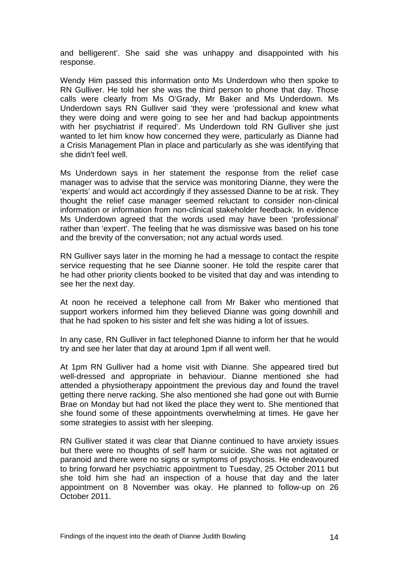and belligerent'. She said she was unhappy and disappointed with his response.

Wendy Him passed this information onto Ms Underdown who then spoke to RN Gulliver. He told her she was the third person to phone that day. Those calls were clearly from Ms O'Grady, Mr Baker and Ms Underdown. Ms Underdown says RN Gulliver said 'they were 'professional and knew what they were doing and were going to see her and had backup appointments with her psychiatrist if required'. Ms Underdown told RN Gulliver she just wanted to let him know how concerned they were, particularly as Dianne had a Crisis Management Plan in place and particularly as she was identifying that she didn't feel well.

Ms Underdown says in her statement the response from the relief case manager was to advise that the service was monitoring Dianne, they were the 'experts' and would act accordingly if they assessed Dianne to be at risk. They thought the relief case manager seemed reluctant to consider non-clinical information or information from non-clinical stakeholder feedback. In evidence Ms Underdown agreed that the words used may have been 'professional' rather than 'expert'. The feeling that he was dismissive was based on his tone and the brevity of the conversation; not any actual words used.

RN Gulliver says later in the morning he had a message to contact the respite service requesting that he see Dianne sooner. He told the respite carer that he had other priority clients booked to be visited that day and was intending to see her the next day.

At noon he received a telephone call from Mr Baker who mentioned that support workers informed him they believed Dianne was going downhill and that he had spoken to his sister and felt she was hiding a lot of issues.

In any case, RN Gulliver in fact telephoned Dianne to inform her that he would try and see her later that day at around 1pm if all went well.

At 1pm RN Gulliver had a home visit with Dianne. She appeared tired but well-dressed and appropriate in behaviour. Dianne mentioned she had attended a physiotherapy appointment the previous day and found the travel getting there nerve racking. She also mentioned she had gone out with Burnie Brae on Monday but had not liked the place they went to. She mentioned that she found some of these appointments overwhelming at times. He gave her some strategies to assist with her sleeping.

RN Gulliver stated it was clear that Dianne continued to have anxiety issues but there were no thoughts of self harm or suicide. She was not agitated or paranoid and there were no signs or symptoms of psychosis. He endeavoured to bring forward her psychiatric appointment to Tuesday, 25 October 2011 but she told him she had an inspection of a house that day and the later appointment on 8 November was okay. He planned to follow-up on 26 October 2011.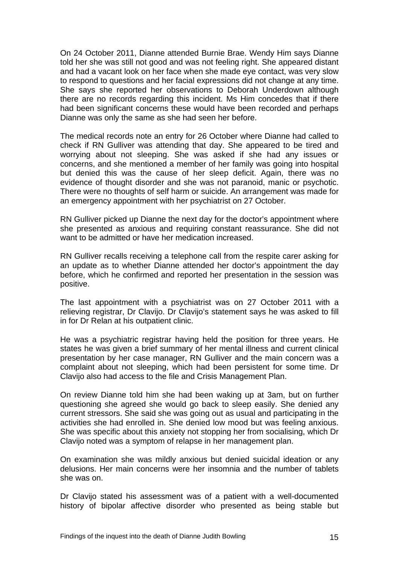On 24 October 2011, Dianne attended Burnie Brae. Wendy Him says Dianne told her she was still not good and was not feeling right. She appeared distant and had a vacant look on her face when she made eye contact, was very slow to respond to questions and her facial expressions did not change at any time. She says she reported her observations to Deborah Underdown although there are no records regarding this incident. Ms Him concedes that if there had been significant concerns these would have been recorded and perhaps Dianne was only the same as she had seen her before.

The medical records note an entry for 26 October where Dianne had called to check if RN Gulliver was attending that day. She appeared to be tired and worrying about not sleeping. She was asked if she had any issues or concerns, and she mentioned a member of her family was going into hospital but denied this was the cause of her sleep deficit. Again, there was no evidence of thought disorder and she was not paranoid, manic or psychotic. There were no thoughts of self harm or suicide. An arrangement was made for an emergency appointment with her psychiatrist on 27 October.

RN Gulliver picked up Dianne the next day for the doctor's appointment where she presented as anxious and requiring constant reassurance. She did not want to be admitted or have her medication increased.

RN Gulliver recalls receiving a telephone call from the respite carer asking for an update as to whether Dianne attended her doctor's appointment the day before, which he confirmed and reported her presentation in the session was positive.

The last appointment with a psychiatrist was on 27 October 2011 with a relieving registrar, Dr Clavijo. Dr Clavijo's statement says he was asked to fill in for Dr Relan at his outpatient clinic.

He was a psychiatric registrar having held the position for three years. He states he was given a brief summary of her mental illness and current clinical presentation by her case manager, RN Gulliver and the main concern was a complaint about not sleeping, which had been persistent for some time. Dr Clavijo also had access to the file and Crisis Management Plan.

On review Dianne told him she had been waking up at 3am, but on further questioning she agreed she would go back to sleep easily. She denied any current stressors. She said she was going out as usual and participating in the activities she had enrolled in. She denied low mood but was feeling anxious. She was specific about this anxiety not stopping her from socialising, which Dr Clavijo noted was a symptom of relapse in her management plan.

On examination she was mildly anxious but denied suicidal ideation or any delusions. Her main concerns were her insomnia and the number of tablets she was on.

Dr Clavijo stated his assessment was of a patient with a well-documented history of bipolar affective disorder who presented as being stable but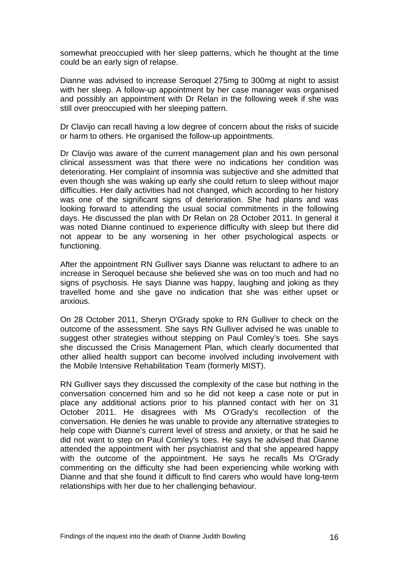somewhat preoccupied with her sleep patterns, which he thought at the time could be an early sign of relapse.

Dianne was advised to increase Seroquel 275mg to 300mg at night to assist with her sleep. A follow-up appointment by her case manager was organised and possibly an appointment with Dr Relan in the following week if she was still over preoccupied with her sleeping pattern.

Dr Clavijo can recall having a low degree of concern about the risks of suicide or harm to others. He organised the follow-up appointments.

Dr Clavijo was aware of the current management plan and his own personal clinical assessment was that there were no indications her condition was deteriorating. Her complaint of insomnia was subjective and she admitted that even though she was waking up early she could return to sleep without major difficulties. Her daily activities had not changed, which according to her history was one of the significant signs of deterioration. She had plans and was looking forward to attending the usual social commitments in the following days. He discussed the plan with Dr Relan on 28 October 2011. In general it was noted Dianne continued to experience difficulty with sleep but there did not appear to be any worsening in her other psychological aspects or functioning.

After the appointment RN Gulliver says Dianne was reluctant to adhere to an increase in Seroquel because she believed she was on too much and had no signs of psychosis. He says Dianne was happy, laughing and joking as they travelled home and she gave no indication that she was either upset or anxious.

On 28 October 2011, Sheryn O'Grady spoke to RN Gulliver to check on the outcome of the assessment. She says RN Gulliver advised he was unable to suggest other strategies without stepping on Paul Comley's toes. She says she discussed the Crisis Management Plan, which clearly documented that other allied health support can become involved including involvement with the Mobile Intensive Rehabilitation Team (formerly MIST).

RN Gulliver says they discussed the complexity of the case but nothing in the conversation concerned him and so he did not keep a case note or put in place any additional actions prior to his planned contact with her on 31 October 2011. He disagrees with Ms O'Grady's recollection of the conversation. He denies he was unable to provide any alternative strategies to help cope with Dianne's current level of stress and anxiety, or that he said he did not want to step on Paul Comley's toes. He says he advised that Dianne attended the appointment with her psychiatrist and that she appeared happy with the outcome of the appointment. He says he recalls Ms O'Grady commenting on the difficulty she had been experiencing while working with Dianne and that she found it difficult to find carers who would have long-term relationships with her due to her challenging behaviour.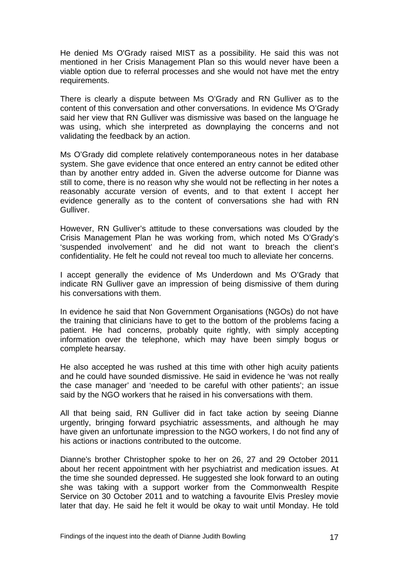He denied Ms O'Grady raised MIST as a possibility. He said this was not mentioned in her Crisis Management Plan so this would never have been a viable option due to referral processes and she would not have met the entry requirements.

There is clearly a dispute between Ms O'Grady and RN Gulliver as to the content of this conversation and other conversations. In evidence Ms O'Grady said her view that RN Gulliver was dismissive was based on the language he was using, which she interpreted as downplaying the concerns and not validating the feedback by an action.

Ms O'Grady did complete relatively contemporaneous notes in her database system. She gave evidence that once entered an entry cannot be edited other than by another entry added in. Given the adverse outcome for Dianne was still to come, there is no reason why she would not be reflecting in her notes a reasonably accurate version of events, and to that extent I accept her evidence generally as to the content of conversations she had with RN Gulliver.

However, RN Gulliver's attitude to these conversations was clouded by the Crisis Management Plan he was working from, which noted Ms O'Grady's 'suspended involvement' and he did not want to breach the client's confidentiality. He felt he could not reveal too much to alleviate her concerns.

I accept generally the evidence of Ms Underdown and Ms O'Grady that indicate RN Gulliver gave an impression of being dismissive of them during his conversations with them.

In evidence he said that Non Government Organisations (NGOs) do not have the training that clinicians have to get to the bottom of the problems facing a patient. He had concerns, probably quite rightly, with simply accepting information over the telephone, which may have been simply bogus or complete hearsay.

He also accepted he was rushed at this time with other high acuity patients and he could have sounded dismissive. He said in evidence he 'was not really the case manager' and 'needed to be careful with other patients'; an issue said by the NGO workers that he raised in his conversations with them.

All that being said, RN Gulliver did in fact take action by seeing Dianne urgently, bringing forward psychiatric assessments, and although he may have given an unfortunate impression to the NGO workers, I do not find any of his actions or inactions contributed to the outcome.

Dianne's brother Christopher spoke to her on 26, 27 and 29 October 2011 about her recent appointment with her psychiatrist and medication issues. At the time she sounded depressed. He suggested she look forward to an outing she was taking with a support worker from the Commonwealth Respite Service on 30 October 2011 and to watching a favourite Elvis Presley movie later that day. He said he felt it would be okay to wait until Monday. He told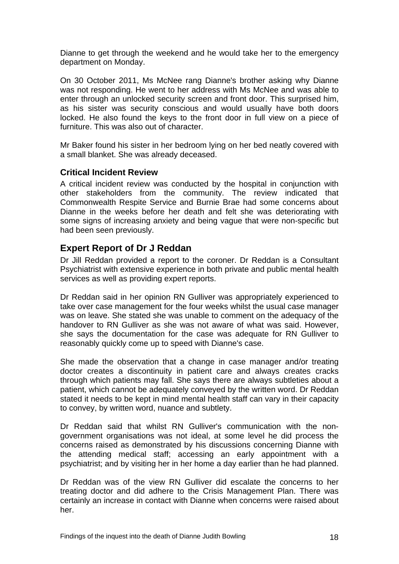Dianne to get through the weekend and he would take her to the emergency department on Monday.

On 30 October 2011, Ms McNee rang Dianne's brother asking why Dianne was not responding. He went to her address with Ms McNee and was able to enter through an unlocked security screen and front door. This surprised him, as his sister was security conscious and would usually have both doors locked. He also found the keys to the front door in full view on a piece of furniture. This was also out of character.

Mr Baker found his sister in her bedroom lying on her bed neatly covered with a small blanket. She was already deceased.

#### <span id="page-19-0"></span>**Critical Incident Review**

A critical incident review was conducted by the hospital in conjunction with other stakeholders from the community. The review indicated that Commonwealth Respite Service and Burnie Brae had some concerns about Dianne in the weeks before her death and felt she was deteriorating with some signs of increasing anxiety and being vague that were non-specific but had been seen previously.

## <span id="page-19-1"></span>**Expert Report of Dr J Reddan**

Dr Jill Reddan provided a report to the coroner. Dr Reddan is a Consultant Psychiatrist with extensive experience in both private and public mental health services as well as providing expert reports.

Dr Reddan said in her opinion RN Gulliver was appropriately experienced to take over case management for the four weeks whilst the usual case manager was on leave. She stated she was unable to comment on the adequacy of the handover to RN Gulliver as she was not aware of what was said. However, she says the documentation for the case was adequate for RN Gulliver to reasonably quickly come up to speed with Dianne's case.

She made the observation that a change in case manager and/or treating doctor creates a discontinuity in patient care and always creates cracks through which patients may fall. She says there are always subtleties about a patient, which cannot be adequately conveyed by the written word. Dr Reddan stated it needs to be kept in mind mental health staff can vary in their capacity to convey, by written word, nuance and subtlety.

Dr Reddan said that whilst RN Gulliver's communication with the nongovernment organisations was not ideal, at some level he did process the concerns raised as demonstrated by his discussions concerning Dianne with the attending medical staff; accessing an early appointment with a psychiatrist; and by visiting her in her home a day earlier than he had planned.

Dr Reddan was of the view RN Gulliver did escalate the concerns to her treating doctor and did adhere to the Crisis Management Plan. There was certainly an increase in contact with Dianne when concerns were raised about her.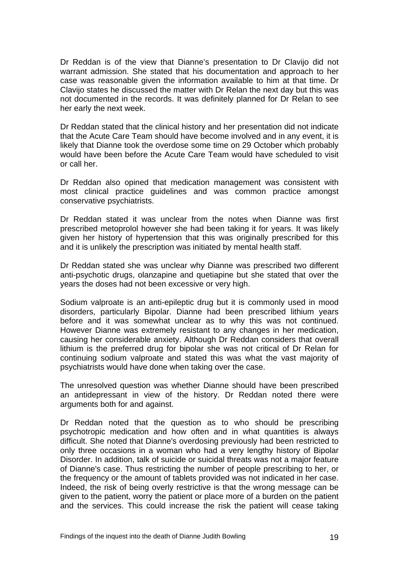Dr Reddan is of the view that Dianne's presentation to Dr Clavijo did not warrant admission. She stated that his documentation and approach to her case was reasonable given the information available to him at that time. Dr Clavijo states he discussed the matter with Dr Relan the next day but this was not documented in the records. It was definitely planned for Dr Relan to see her early the next week.

Dr Reddan stated that the clinical history and her presentation did not indicate that the Acute Care Team should have become involved and in any event, it is likely that Dianne took the overdose some time on 29 October which probably would have been before the Acute Care Team would have scheduled to visit or call her.

Dr Reddan also opined that medication management was consistent with most clinical practice guidelines and was common practice amongst conservative psychiatrists.

Dr Reddan stated it was unclear from the notes when Dianne was first prescribed metoprolol however she had been taking it for years. It was likely given her history of hypertension that this was originally prescribed for this and it is unlikely the prescription was initiated by mental health staff.

Dr Reddan stated she was unclear why Dianne was prescribed two different anti-psychotic drugs, olanzapine and quetiapine but she stated that over the years the doses had not been excessive or very high.

Sodium valproate is an anti-epileptic drug but it is commonly used in mood disorders, particularly Bipolar. Dianne had been prescribed lithium years before and it was somewhat unclear as to why this was not continued. However Dianne was extremely resistant to any changes in her medication, causing her considerable anxiety. Although Dr Reddan considers that overall lithium is the preferred drug for bipolar she was not critical of Dr Relan for continuing sodium valproate and stated this was what the vast majority of psychiatrists would have done when taking over the case.

The unresolved question was whether Dianne should have been prescribed an antidepressant in view of the history. Dr Reddan noted there were arguments both for and against.

Dr Reddan noted that the question as to who should be prescribing psychotropic medication and how often and in what quantities is always difficult. She noted that Dianne's overdosing previously had been restricted to only three occasions in a woman who had a very lengthy history of Bipolar Disorder. In addition, talk of suicide or suicidal threats was not a major feature of Dianne's case. Thus restricting the number of people prescribing to her, or the frequency or the amount of tablets provided was not indicated in her case. Indeed, the risk of being overly restrictive is that the wrong message can be given to the patient, worry the patient or place more of a burden on the patient and the services. This could increase the risk the patient will cease taking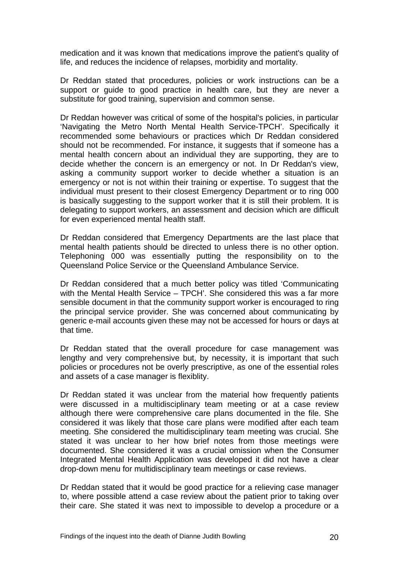medication and it was known that medications improve the patient's quality of life, and reduces the incidence of relapses, morbidity and mortality.

Dr Reddan stated that procedures, policies or work instructions can be a support or guide to good practice in health care, but they are never a substitute for good training, supervision and common sense.

Dr Reddan however was critical of some of the hospital's policies, in particular 'Navigating the Metro North Mental Health Service-TPCH'. Specifically it recommended some behaviours or practices which Dr Reddan considered should not be recommended. For instance, it suggests that if someone has a mental health concern about an individual they are supporting, they are to decide whether the concern is an emergency or not. In Dr Reddan's view, asking a community support worker to decide whether a situation is an emergency or not is not within their training or expertise. To suggest that the individual must present to their closest Emergency Department or to ring 000 is basically suggesting to the support worker that it is still their problem. It is delegating to support workers, an assessment and decision which are difficult for even experienced mental health staff.

Dr Reddan considered that Emergency Departments are the last place that mental health patients should be directed to unless there is no other option. Telephoning 000 was essentially putting the responsibility on to the Queensland Police Service or the Queensland Ambulance Service.

Dr Reddan considered that a much better policy was titled 'Communicating with the Mental Health Service – TPCH'. She considered this was a far more sensible document in that the community support worker is encouraged to ring the principal service provider. She was concerned about communicating by generic e-mail accounts given these may not be accessed for hours or days at that time.

Dr Reddan stated that the overall procedure for case management was lengthy and very comprehensive but, by necessity, it is important that such policies or procedures not be overly prescriptive, as one of the essential roles and assets of a case manager is flexiblity.

Dr Reddan stated it was unclear from the material how frequently patients were discussed in a multidisciplinary team meeting or at a case review although there were comprehensive care plans documented in the file. She considered it was likely that those care plans were modified after each team meeting. She considered the multidisciplinary team meeting was crucial. She stated it was unclear to her how brief notes from those meetings were documented. She considered it was a crucial omission when the Consumer Integrated Mental Health Application was developed it did not have a clear drop-down menu for multidisciplinary team meetings or case reviews.

Dr Reddan stated that it would be good practice for a relieving case manager to, where possible attend a case review about the patient prior to taking over their care. She stated it was next to impossible to develop a procedure or a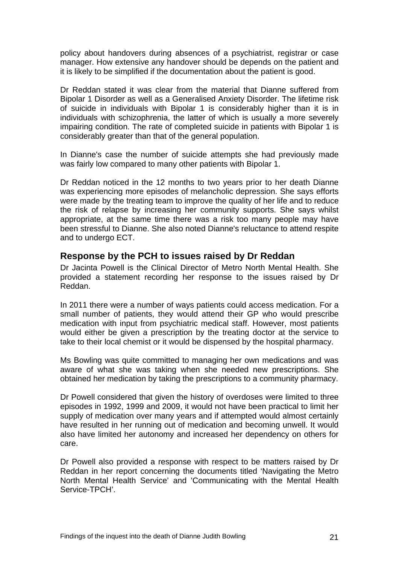policy about handovers during absences of a psychiatrist, registrar or case manager. How extensive any handover should be depends on the patient and it is likely to be simplified if the documentation about the patient is good.

Dr Reddan stated it was clear from the material that Dianne suffered from Bipolar 1 Disorder as well as a Generalised Anxiety Disorder. The lifetime risk of suicide in individuals with Bipolar 1 is considerably higher than it is in individuals with schizophrenia, the latter of which is usually a more severely impairing condition. The rate of completed suicide in patients with Bipolar 1 is considerably greater than that of the general population.

In Dianne's case the number of suicide attempts she had previously made was fairly low compared to many other patients with Bipolar 1.

Dr Reddan noticed in the 12 months to two years prior to her death Dianne was experiencing more episodes of melancholic depression. She says efforts were made by the treating team to improve the quality of her life and to reduce the risk of relapse by increasing her community supports. She says whilst appropriate, at the same time there was a risk too many people may have been stressful to Dianne. She also noted Dianne's reluctance to attend respite and to undergo ECT.

## <span id="page-22-0"></span>**Response by the PCH to issues raised by Dr Reddan**

Dr Jacinta Powell is the Clinical Director of Metro North Mental Health. She provided a statement recording her response to the issues raised by Dr Reddan.

In 2011 there were a number of ways patients could access medication. For a small number of patients, they would attend their GP who would prescribe medication with input from psychiatric medical staff. However, most patients would either be given a prescription by the treating doctor at the service to take to their local chemist or it would be dispensed by the hospital pharmacy.

Ms Bowling was quite committed to managing her own medications and was aware of what she was taking when she needed new prescriptions. She obtained her medication by taking the prescriptions to a community pharmacy.

Dr Powell considered that given the history of overdoses were limited to three episodes in 1992, 1999 and 2009, it would not have been practical to limit her supply of medication over many years and if attempted would almost certainly have resulted in her running out of medication and becoming unwell. It would also have limited her autonomy and increased her dependency on others for care.

Dr Powell also provided a response with respect to be matters raised by Dr Reddan in her report concerning the documents titled 'Navigating the Metro North Mental Health Service' and 'Communicating with the Mental Health Service-TPCH'.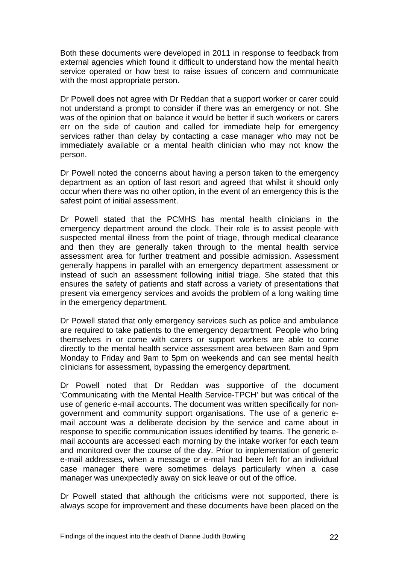Both these documents were developed in 2011 in response to feedback from external agencies which found it difficult to understand how the mental health service operated or how best to raise issues of concern and communicate with the most appropriate person.

Dr Powell does not agree with Dr Reddan that a support worker or carer could not understand a prompt to consider if there was an emergency or not. She was of the opinion that on balance it would be better if such workers or carers err on the side of caution and called for immediate help for emergency services rather than delay by contacting a case manager who may not be immediately available or a mental health clinician who may not know the person.

Dr Powell noted the concerns about having a person taken to the emergency department as an option of last resort and agreed that whilst it should only occur when there was no other option, in the event of an emergency this is the safest point of initial assessment.

Dr Powell stated that the PCMHS has mental health clinicians in the emergency department around the clock. Their role is to assist people with suspected mental illness from the point of triage, through medical clearance and then they are generally taken through to the mental health service assessment area for further treatment and possible admission. Assessment generally happens in parallel with an emergency department assessment or instead of such an assessment following initial triage. She stated that this ensures the safety of patients and staff across a variety of presentations that present via emergency services and avoids the problem of a long waiting time in the emergency department.

Dr Powell stated that only emergency services such as police and ambulance are required to take patients to the emergency department. People who bring themselves in or come with carers or support workers are able to come directly to the mental health service assessment area between 8am and 9pm Monday to Friday and 9am to 5pm on weekends and can see mental health clinicians for assessment, bypassing the emergency department.

Dr Powell noted that Dr Reddan was supportive of the document 'Communicating with the Mental Health Service-TPCH' but was critical of the use of generic e-mail accounts. The document was written specifically for nongovernment and community support organisations. The use of a generic email account was a deliberate decision by the service and came about in response to specific communication issues identified by teams. The generic email accounts are accessed each morning by the intake worker for each team and monitored over the course of the day. Prior to implementation of generic e-mail addresses, when a message or e-mail had been left for an individual case manager there were sometimes delays particularly when a case manager was unexpectedly away on sick leave or out of the office.

Dr Powell stated that although the criticisms were not supported, there is always scope for improvement and these documents have been placed on the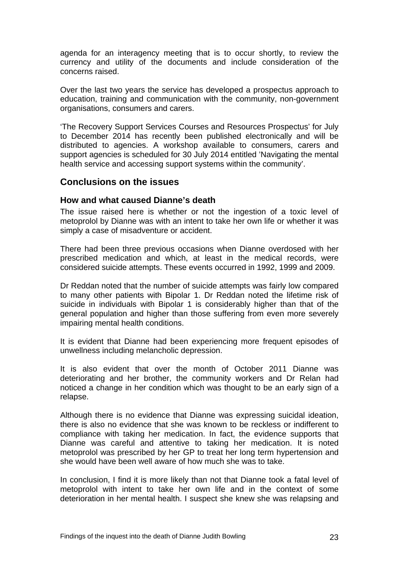agenda for an interagency meeting that is to occur shortly, to review the currency and utility of the documents and include consideration of the concerns raised.

Over the last two years the service has developed a prospectus approach to education, training and communication with the community, non-government organisations, consumers and carers.

'The Recovery Support Services Courses and Resources Prospectus' for July to December 2014 has recently been published electronically and will be distributed to agencies. A workshop available to consumers, carers and support agencies is scheduled for 30 July 2014 entitled 'Navigating the mental health service and accessing support systems within the community'.

#### <span id="page-24-0"></span>**Conclusions on the issues**

#### <span id="page-24-1"></span>**How and what caused Dianne's death**

The issue raised here is whether or not the ingestion of a toxic level of metoprolol by Dianne was with an intent to take her own life or whether it was simply a case of misadventure or accident.

There had been three previous occasions when Dianne overdosed with her prescribed medication and which, at least in the medical records, were considered suicide attempts. These events occurred in 1992, 1999 and 2009.

Dr Reddan noted that the number of suicide attempts was fairly low compared to many other patients with Bipolar 1. Dr Reddan noted the lifetime risk of suicide in individuals with Bipolar 1 is considerably higher than that of the general population and higher than those suffering from even more severely impairing mental health conditions.

It is evident that Dianne had been experiencing more frequent episodes of unwellness including melancholic depression.

It is also evident that over the month of October 2011 Dianne was deteriorating and her brother, the community workers and Dr Relan had noticed a change in her condition which was thought to be an early sign of a relapse.

Although there is no evidence that Dianne was expressing suicidal ideation, there is also no evidence that she was known to be reckless or indifferent to compliance with taking her medication. In fact, the evidence supports that Dianne was careful and attentive to taking her medication. It is noted metoprolol was prescribed by her GP to treat her long term hypertension and she would have been well aware of how much she was to take.

In conclusion, I find it is more likely than not that Dianne took a fatal level of metoprolol with intent to take her own life and in the context of some deterioration in her mental health. I suspect she knew she was relapsing and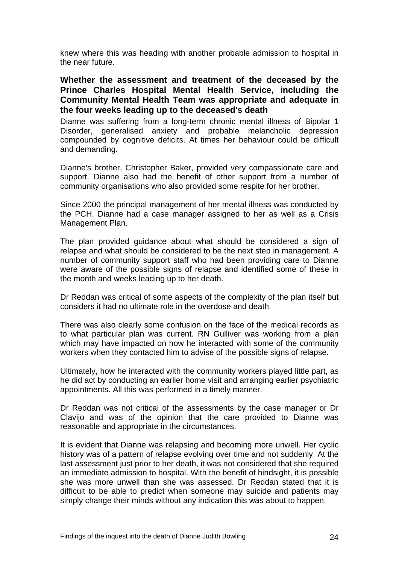knew where this was heading with another probable admission to hospital in the near future.

<span id="page-25-0"></span>**Whether the assessment and treatment of the deceased by the Prince Charles Hospital Mental Health Service, including the Community Mental Health Team was appropriate and adequate in the four weeks leading up to the deceased's death** 

Dianne was suffering from a long-term chronic mental illness of Bipolar 1 Disorder, generalised anxiety and probable melancholic depression compounded by cognitive deficits. At times her behaviour could be difficult and demanding.

Dianne's brother, Christopher Baker, provided very compassionate care and support. Dianne also had the benefit of other support from a number of community organisations who also provided some respite for her brother.

Since 2000 the principal management of her mental illness was conducted by the PCH. Dianne had a case manager assigned to her as well as a Crisis Management Plan.

The plan provided guidance about what should be considered a sign of relapse and what should be considered to be the next step in management. A number of community support staff who had been providing care to Dianne were aware of the possible signs of relapse and identified some of these in the month and weeks leading up to her death.

Dr Reddan was critical of some aspects of the complexity of the plan itself but considers it had no ultimate role in the overdose and death.

There was also clearly some confusion on the face of the medical records as to what particular plan was current. RN Gulliver was working from a plan which may have impacted on how he interacted with some of the community workers when they contacted him to advise of the possible signs of relapse.

Ultimately, how he interacted with the community workers played little part, as he did act by conducting an earlier home visit and arranging earlier psychiatric appointments. All this was performed in a timely manner.

Dr Reddan was not critical of the assessments by the case manager or Dr Clavijo and was of the opinion that the care provided to Dianne was reasonable and appropriate in the circumstances.

It is evident that Dianne was relapsing and becoming more unwell. Her cyclic history was of a pattern of relapse evolving over time and not suddenly. At the last assessment just prior to her death, it was not considered that she required an immediate admission to hospital. With the benefit of hindsight, it is possible she was more unwell than she was assessed. Dr Reddan stated that it is difficult to be able to predict when someone may suicide and patients may simply change their minds without any indication this was about to happen.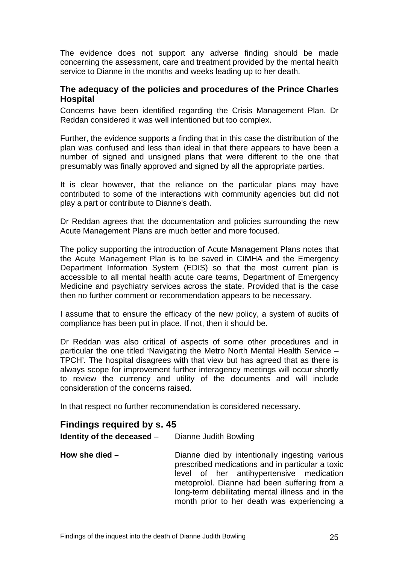The evidence does not support any adverse finding should be made concerning the assessment, care and treatment provided by the mental health service to Dianne in the months and weeks leading up to her death.

#### <span id="page-26-0"></span>**The adequacy of the policies and procedures of the Prince Charles Hospital**

Concerns have been identified regarding the Crisis Management Plan. Dr Reddan considered it was well intentioned but too complex.

Further, the evidence supports a finding that in this case the distribution of the plan was confused and less than ideal in that there appears to have been a number of signed and unsigned plans that were different to the one that presumably was finally approved and signed by all the appropriate parties.

It is clear however, that the reliance on the particular plans may have contributed to some of the interactions with community agencies but did not play a part or contribute to Dianne's death.

Dr Reddan agrees that the documentation and policies surrounding the new Acute Management Plans are much better and more focused.

The policy supporting the introduction of Acute Management Plans notes that the Acute Management Plan is to be saved in CIMHA and the Emergency Department Information System (EDIS) so that the most current plan is accessible to all mental health acute care teams, Department of Emergency Medicine and psychiatry services across the state. Provided that is the case then no further comment or recommendation appears to be necessary.

I assume that to ensure the efficacy of the new policy, a system of audits of compliance has been put in place. If not, then it should be.

Dr Reddan was also critical of aspects of some other procedures and in particular the one titled 'Navigating the Metro North Mental Health Service – TPCH'*.* The hospital disagrees with that view but has agreed that as there is always scope for improvement further interagency meetings will occur shortly to review the currency and utility of the documents and will include consideration of the concerns raised.

In that respect no further recommendation is considered necessary.

## <span id="page-26-1"></span>**Findings required by s. 45**

| <b>Identity of the deceased</b> $-$ Dianne Judith Bowling |                                                                                                                                                                                                                                                                                                   |  |  |
|-----------------------------------------------------------|---------------------------------------------------------------------------------------------------------------------------------------------------------------------------------------------------------------------------------------------------------------------------------------------------|--|--|
| How she died $-$                                          | Dianne died by intentionally ingesting various<br>prescribed medications and in particular a toxic<br>level of her antihypertensive medication<br>metoprolol. Dianne had been suffering from a<br>long-term debilitating mental illness and in the<br>month prior to her death was experiencing a |  |  |
|                                                           |                                                                                                                                                                                                                                                                                                   |  |  |